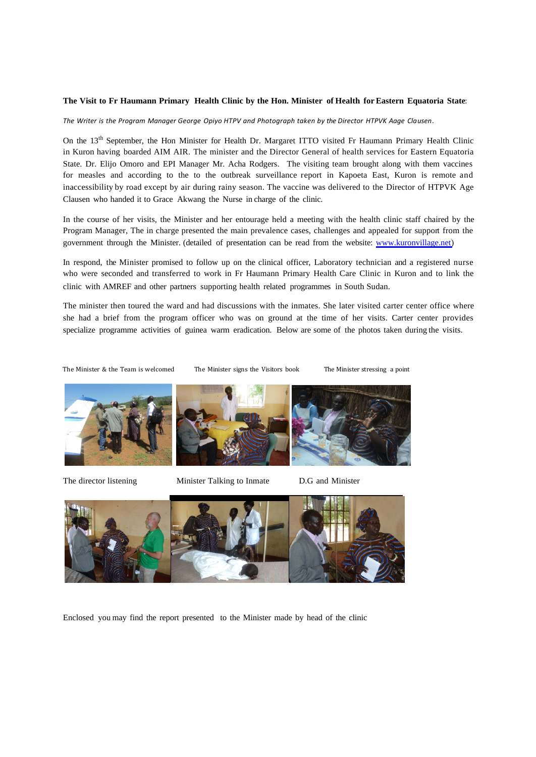#### **The Visit to Fr Haumann Primary Health Clinic by the Hon. Minister of Health forEastern Equatoria State**:

*The Writer is the Program Manager George Opiyo HTPV and Photograph taken by the Director HTPVK Aage Clausen*.

On the 13th September, the Hon Minister for Health Dr. Margaret ITTO visited Fr Haumann Primary Health Clinic in Kuron having boarded AIM AIR. The minister and the Director General of health services for Eastern Equatoria State. Dr. Elijo Omoro and EPI Manager Mr. Acha Rodgers. The visiting team brought along with them vaccines for measles and according to the to the outbreak surveillance report in Kapoeta East, Kuron is remote and inaccessibility by road except by air during rainy season. The vaccine was delivered to the Director of HTPVK Age Clausen who handed it to Grace Akwang the Nurse in charge of the clinic.

In the course of her visits, the Minister and her entourage held a meeting with the health clinic staff chaired by the Program Manager, The in charge presented the main prevalence cases, challenges and appealed for support from the government through the Minister. (detailed of presentation can be read from the website: [www.kuronvillage.net\)](www.kuronvillage.net))

In respond, the Minister promised to follow up on the clinical officer, Laboratory technician and a registered nurse who were seconded and transferred to work in Fr Haumann Primary Health Care Clinic in Kuron and to link the clinic with AMREF and other partners supporting health related programmes in South Sudan.

The minister then toured the ward and had discussions with the inmates. She later visited carter center office where she had a brief from the program officer who was on ground at the time of her visits. Carter center provides specialize programme activities of guinea warm eradication. Below are some of the photos taken during the visits.

The Minister & the Team is welcomed The Minister signs the Visitors book The Minister stressing a point

#### The director listening Minister Talking to Inmate D.G and Minister



Enclosed you may find the report presented to the Minister made by head of the clinic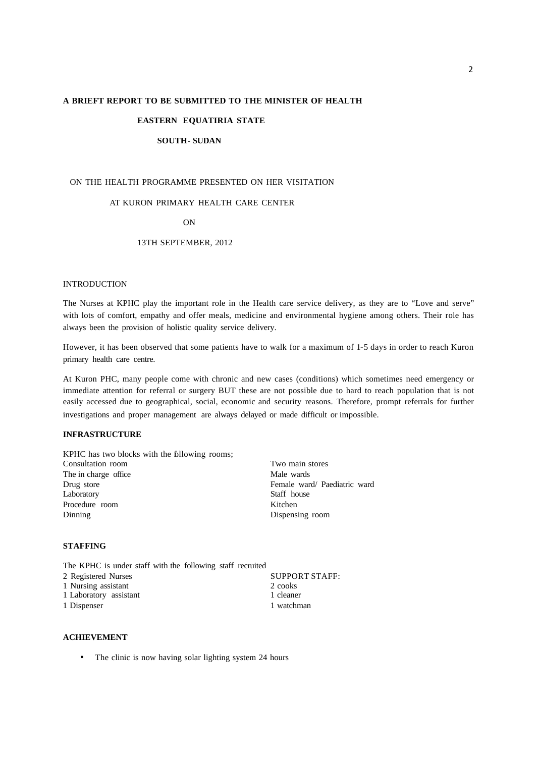# **A BRIEFT REPORT TO BE SUBMITTED TO THE MINISTER OF HEALTH EASTERN EQUATIRIA STATE**

#### **SOUTH- SUDAN**

#### ON THE HEALTH PROGRAMME PRESENTED ON HER VISITATION

# AT KURON PRIMARY HEALTH CARE CENTER

### ON

#### 13TH SEPTEMBER, 2012

#### INTRODUCTION

The Nurses at KPHC play the important role in the Health care service delivery, as they are to "Love and serve" with lots of comfort, empathy and offer meals, medicine and environmental hygiene among others. Their role has always been the provision of holistic quality service delivery.

However, it has been observed that some patients have to walk for a maximum of 1-5 days in order to reach Kuron primary health care centre.

At Kuron PHC, many people come with chronic and new cases (conditions) which sometimes need emergency or immediate attention for referral or surgery BUT these are not possible due to hard to reach population that is not easily accessed due to geographical, social, economic and security reasons. Therefore, prompt referrals for further investigations and proper management are always delayed or made difficult or impossible.

# **INFRASTRUCTURE**

| KPHC has two blocks with the following rooms; |                              |
|-----------------------------------------------|------------------------------|
| Consultation room                             | Two main stores              |
| The in charge office.                         | Male wards                   |
| Drug store                                    | Female ward/ Paediatric ward |
| Laboratory                                    | Staff house                  |
| Procedure room                                | Kitchen                      |
| Dinning                                       | Dispensing room              |

#### **STAFFING**

| The KPHC is under staff with the following staff recruited |                       |
|------------------------------------------------------------|-----------------------|
| 2 Registered Nurses                                        | <b>SUPPORT STAFF:</b> |
| 1 Nursing assistant                                        | 2 cooks               |
| 1 Laboratory assistant                                     | 1 cleaner             |
| 1 Dispenser                                                | 1 watchman            |

# **ACHIEVEMENT**

• The clinic is now having solar lighting system 24 hours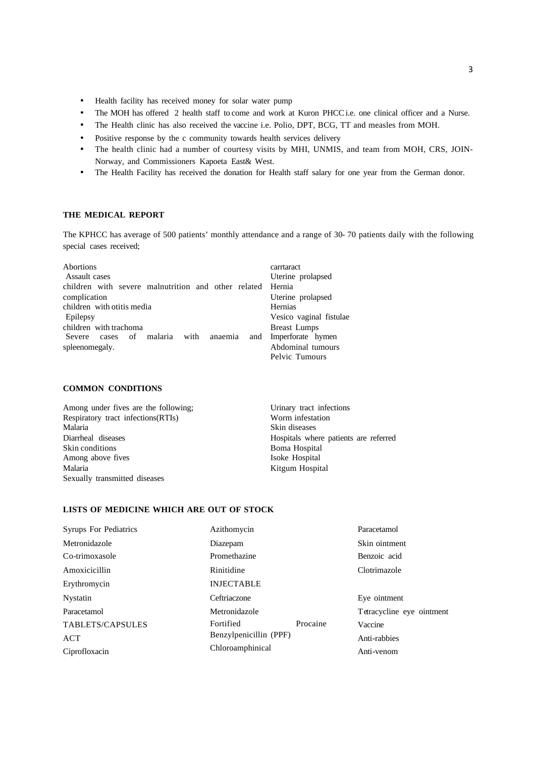- Health facility has received money for solar water pump
- The MOH has offered 2 health staff to come and work at Kuron PHCC i.e. one clinical officer and a Nurse.
- The Health clinic has also received the vaccine i.e. Polio, DPT, BCG, TT and measles from MOH.
- Positive response by the c community towards health services delivery
- The health clinic had a number of courtesy visits by MHI, UNMIS, and team from MOH, CRS, JOIN-Norway, and Commissioners Kapoeta East& West.
- The Health Facility has received the donation for Health staff salary for one year from the German donor.

#### **THE MEDICAL REPORT**

The KPHCC has average of 500 patients' monthly attendance and a range of 30- 70 patients daily with the following special cases received;

| Abortions                                                  | carrtaract              |
|------------------------------------------------------------|-------------------------|
| Assault cases                                              | Uterine prolapsed       |
| children with severe malnutrition and other related Hernia |                         |
| complication                                               | Uterine prolapsed       |
| children with otitis media                                 | Hernias                 |
| Epilepsy                                                   | Vesico vaginal fistulae |
| children with trachoma                                     | <b>Breast Lumps</b>     |
| Severe cases of malaria with anaemia                       | and Imperforate hymen   |
| spleenomegaly.                                             | Abdominal tumours       |
|                                                            | Pelvic Tumours          |

#### **COMMON CONDITIONS**

Among under fives are the following; Respiratory tract infections(RTIs) Malaria Diarrheal diseases Skin conditions Among above fives Malaria Sexually transmitted diseases Urinary tract infections Worm infestation Skin diseases Hospitals where patients are referred Boma Hospital Isoke Hospital Kitgum Hospital

## **LISTS OF MEDICINE WHICH ARE OUT OF STOCK**

| <b>Syrups For Pediatrics</b> | Azithomycin            |          | Paracetamol               |  |
|------------------------------|------------------------|----------|---------------------------|--|
| Metronidazole                | Diazepam               |          | Skin ointment             |  |
| Co-trimoxasole               | Promethazine           |          | Benzoic acid              |  |
| Amoxicicillin                | Rinitidine             |          |                           |  |
| Erythromycin                 | <b>INJECTABLE</b>      |          |                           |  |
| Nystatin                     | Ceftriaczone           |          | Eye ointment              |  |
| Paracetamol                  | Metronidazole          |          | Tetracycline eye ointment |  |
| TABLETS/CAPSULES             | Fortified              | Procaine | Vaccine                   |  |
| ACT                          | Benzylpenicillin (PPF) |          | Anti-rabbies              |  |
| Ciprofloxacin                | Chloroamphinical       |          | Anti-venom                |  |
|                              |                        |          |                           |  |